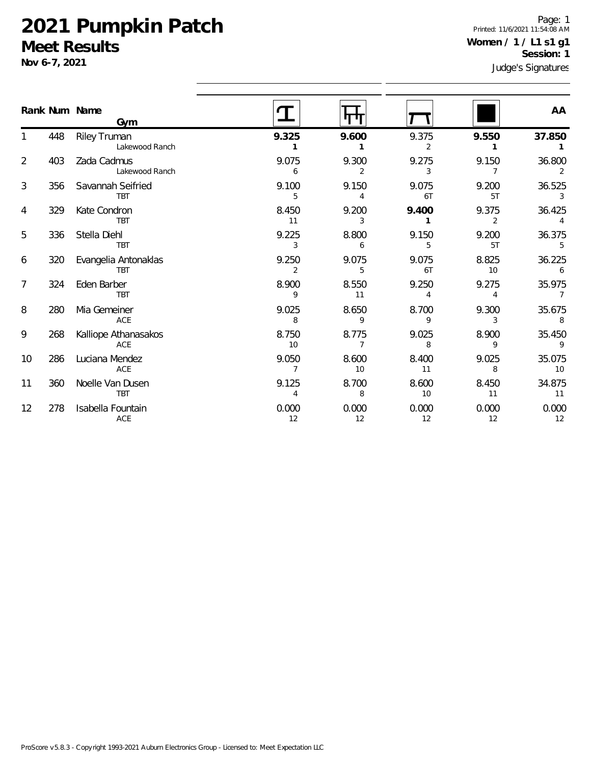### **2021 Pumpkin Patch Meet Results**

**Nov 6-7, 2021**

1

2

3

4

5

6

7

8

9

10

11

12

Page: 1 Printed: 11/6/2021 11:54:08 AM **Women / 1 / L1 s1 g1 Session: 1**

| INOV 0-7, 2021 |               |                                    | Judge's Signatures      |                         |                         |             |                                     |
|----------------|---------------|------------------------------------|-------------------------|-------------------------|-------------------------|-------------|-------------------------------------|
|                | Rank Num Name | Gym                                |                         |                         |                         |             | AA                                  |
| 1              | 448           | Riley Truman<br>Lakewood Ranch     | 9.325<br>1              | 9.600                   | 9.375<br>2              | 9.550<br>1  | 37.850                              |
| $\overline{2}$ | 403           | Zada Cadmus<br>Lakewood Ranch      | 9.075<br>6              | 9.300<br>2              | 9.275<br>3              | 9.150<br>7  | 36.800<br>2                         |
| 3              | 356           | Savannah Seifried<br><b>TBT</b>    | 9.100<br>5              | 9.150<br>4              | 9.075<br>6T             | 9.200<br>5T | 36.525<br>3                         |
| 4              | 329           | Kate Condron<br><b>TBT</b>         | 8.450<br>11             | 9.200<br>3              | 9.400<br>1              | 9.375<br>2  | 36.425<br>$\boldsymbol{\varLambda}$ |
| 5              | 336           | Stella Diehl<br><b>TBT</b>         | 9.225<br>3              | 8.800<br>6              | 9.150<br>5              | 9.200<br>5T | 36.375<br>5                         |
| 6              | 320           | Evangelia Antonaklas<br><b>TBT</b> | 9.250<br>2              | 9.075<br>5              | 9.075<br>6T             | 8.825<br>10 | 36.225<br>6                         |
| 7              | 324           | Eden Barber<br><b>TBT</b>          | 8.900<br>9              | 8.550<br>11             | 9.250<br>$\overline{4}$ | 9.275<br>4  | 35.975<br>$\overline{7}$            |
| 8              | 280           | Mia Gemeiner<br>ACE                | 9.025<br>8              | 8.650<br>9              | 8.700<br>9              | 9.300<br>3  | 35.675<br>8                         |
| 9              | 268           | Kalliope Athanasakos<br>ACE        | 8.750<br>10             | 8.775<br>$\overline{7}$ | 9.025<br>8              | 8.900<br>9  | 35.450<br>9                         |
| 10             | 286           | Luciana Mendez<br>ACE              | 9.050<br>$\overline{7}$ | 8.600<br>10             | 8.400<br>11             | 9.025<br>8  | 35.075<br>10                        |
| 11             | 360           | Noelle Van Dusen<br><b>TBT</b>     | 9.125<br>4              | 8.700<br>8              | 8.600<br>10             | 8.450<br>11 | 34.875<br>11                        |
| 12             | 278           | Isabella Fountain<br>ACE           | 0.000<br>12             | 0.000<br>12             | 0.000<br>12             | 0.000<br>12 | 0.000<br>12                         |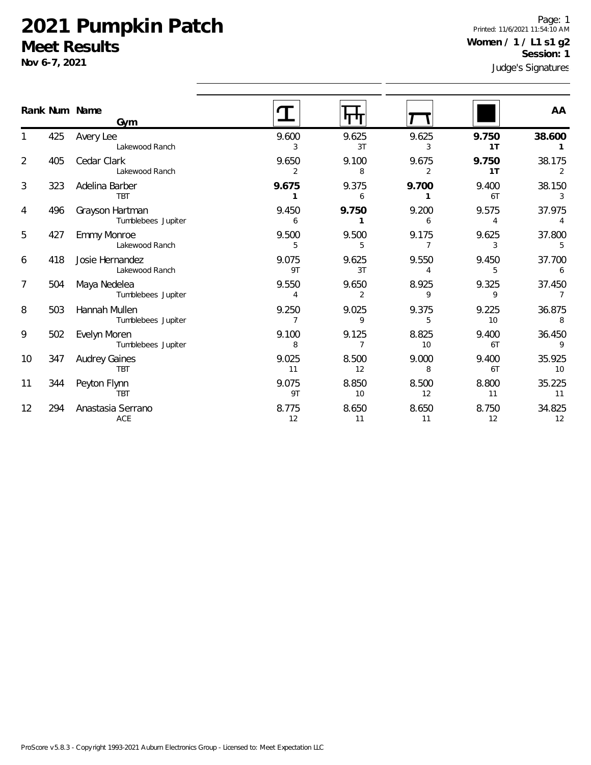#### **2021 Pumpkin Patch Meet Results**

ACE

**Nov 6-7, 2021**

8

Page: 1 Printed: 11/6/2021 11:54:10 AM **Women / 1 / L1 s1 g2 Session: 1**

| $100VU$ -1, 2021 |     |                                       | Judge's Signatures      |                       |                         |             |                          |
|------------------|-----|---------------------------------------|-------------------------|-----------------------|-------------------------|-------------|--------------------------|
|                  |     | Rank Num Name<br>Gym                  |                         | पाण                   |                         |             | AA                       |
|                  | 425 | Avery Lee<br>Lakewood Ranch           | 9.600<br>3              | 9.625<br>3T           | 9.625<br>3              | 9.750<br>1T | 38.600                   |
| $\overline{2}$   | 405 | Cedar Clark<br>Lakewood Ranch         | 9.650<br>$\overline{2}$ | 9.100<br>8            | 9.675<br>$\overline{2}$ | 9.750<br>1T | 38.175<br>2              |
| 3                | 323 | Adelina Barber<br><b>TBT</b>          | 9.675<br>1              | 9.375<br>6            | 9.700<br>1              | 9.400<br>6T | 38.150<br>3              |
| 4                | 496 | Grayson Hartman<br>Tumblebees Jupiter | 9.450<br>6              | 9.750<br>$\mathbf{1}$ | 9.200<br>6              | 9.575<br>4  | 37.975<br>$\overline{4}$ |
| 5                | 427 | <b>Emmy Monroe</b><br>Lakewood Ranch  | 9.500<br>5              | 9.500<br>5            | 9.175<br>$\overline{7}$ | 9.625<br>3  | 37.800<br>5              |
| 6                | 418 | Josie Hernandez<br>Lakewood Ranch     | 9.075<br>9T             | 9.625<br>3T           | 9.550<br>4              | 9.450<br>5  | 37.700<br>6              |
| 7                | 504 | Maya Nedelea<br>Tumblebees Jupiter    | 9.550<br>4              | 9.650<br>2            | 8.925<br>9              | 9.325<br>9  | 37.450<br>$\overline{7}$ |
| 8                | 503 | Hannah Mullen<br>Tumblebees Jupiter   | 9.250<br>7              | 9.025<br>9            | 9.375<br>5              | 9.225<br>10 | 36.875<br>8              |
| 9                | 502 | Evelyn Moren<br>Tumblebees Jupiter    | 9.100<br>8              | 9.125<br>7            | 8.825<br>10             | 9.400<br>6T | 36.450<br>9              |
| 10               | 347 | <b>Audrey Gaines</b><br><b>TBT</b>    | 9.025<br>11             | 8.500<br>12           | 9.000<br>8              | 9.400<br>6T | 35.925<br>10             |
| 11               | 344 | Peyton Flynn<br><b>TBT</b>            | 9.075<br>9T             | 8.850<br>10           | 8.500<br>12             | 8.800<br>11 | 35.225<br>11             |
| 12               | 294 | Anastasia Serrano                     | 8.775                   | 8.650                 | 8.650                   | 8.750       | 34.825                   |

12 11 11 12 12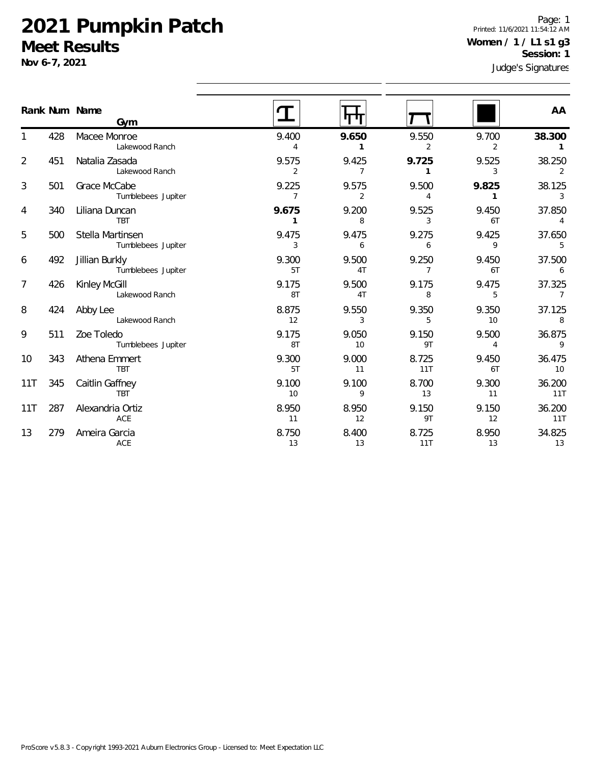#### **2021 Pumpkin Patch Meet Results**

**Nov 6-7, 2021**

8

13

279 Ameira Garcia

ACE

Judge's Signatures Page: 1 Printed: 11/6/2021 11:54:12 AM **Women / 1 / L1 s1 g3 Session: 1**

| Rank Num Name  |     |                                        |                         |                         |                         |             |                          |
|----------------|-----|----------------------------------------|-------------------------|-------------------------|-------------------------|-------------|--------------------------|
|                |     | Gym                                    |                         |                         |                         |             | AA                       |
|                | 428 | Macee Monroe<br>Lakewood Ranch         | 9.400<br>Δ              | 9.650<br>1              | 9.550<br>2              | 9.700<br>2  | 38.300                   |
| $\overline{2}$ | 451 | Natalia Zasada<br>Lakewood Ranch       | 9.575<br>2              | 9.425<br>$\overline{7}$ | 9.725                   | 9.525<br>3  | 38.250<br>2              |
| 3              | 501 | Grace McCabe<br>Tumblebees Jupiter     | 9.225<br>$\overline{7}$ | 9.575<br>2              | 9.500<br>4              | 9.825       | 38.125<br>$\mathbf{3}$   |
| 4              | 340 | Liliana Duncan<br><b>TBT</b>           | 9.675<br>1              | 9.200<br>8              | 9.525<br>3              | 9.450<br>6T | 37.850<br>$\overline{4}$ |
| 5              | 500 | Stella Martinsen<br>Tumblebees Jupiter | 9.475<br>3              | 9.475<br>6              | 9.275<br>6              | 9.425<br>9  | 37.650<br>5              |
| 6              | 492 | Jillian Burkly<br>Tumblebees Jupiter   | 9.300<br>5T             | 9.500<br>4 <sub>T</sub> | 9.250<br>$\overline{7}$ | 9.450<br>6T | 37.500<br>6              |
| $\overline{7}$ | 426 | Kinley McGill<br>Lakewood Ranch        | 9.175<br>8T             | 9.500<br>4T             | 9.175<br>8              | 9.475<br>5  | 37.325<br>$\overline{7}$ |
| 8              | 424 | Abby Lee<br>Lakewood Ranch             | 8.875<br>12             | 9.550<br>3              | 9.350<br>5              | 9.350<br>10 | 37.125<br>8              |
| 9              | 511 | Zoe Toledo<br>Tumblebees Jupiter       | 9.175<br>8T             | 9.050<br>10             | 9.150<br>9T             | 9.500<br>4  | 36.875<br>$\overline{9}$ |
| 10             | 343 | Athena Emmert<br><b>TBT</b>            | 9.300<br>5T             | 9.000<br>11             | 8.725<br>11T            | 9.450<br>6T | 36.475<br>10             |
| 11T            | 345 | Caitlin Gaffney<br><b>TBT</b>          | 9.100<br>10             | 9.100<br>9              | 8.700<br>13             | 9.300<br>11 | 36.200<br><b>11T</b>     |
| 11T            | 287 | Alexandria Ortiz<br>ACE                | 8.950<br>11             | 8.950<br>12             | 9.150<br>9T             | 9.150<br>12 | 36.200<br>11T            |

8.750 8.400 8.725 8.950 34.825 13 13 11T 13 13